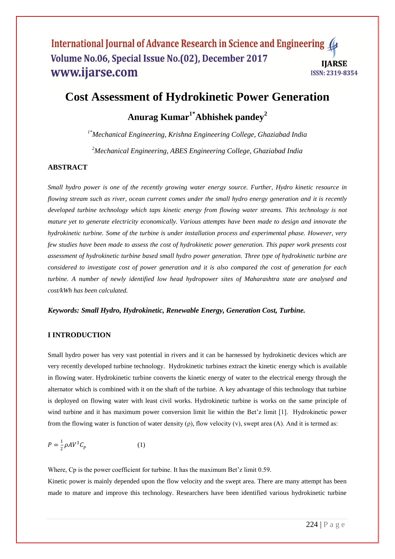# **Cost Assessment of Hydrokinetic Power Generation**

# **Anurag Kumar1\*Abhishek pandey<sup>2</sup>**

*1\*Mechanical Engineering, Krishna Engineering College, Ghaziabad India <sup>2</sup>Mechanical Engineering, ABES Engineering College, Ghaziabad India*

#### **ABSTRACT**

*Small hydro power is one of the recently growing water energy source. Further, Hydro kinetic resource in flowing stream such as river, ocean current comes under the small hydro energy generation and it is recently developed turbine technology which taps kinetic energy from flowing water streams. This technology is not mature yet to generate electricity economically. Various attempts have been made to design and innovate the hydrokinetic turbine. Some of the turbine is under installation process and experimental phase. However, very few studies have been made to assess the cost of hydrokinetic power generation. This paper work presents cost assessment of hydrokinetic turbine based small hydro power generation. Three type of hydrokinetic turbine are considered to investigate cost of power generation and it is also compared the cost of generation for each turbine. A number of newly identified low head hydropower sites of Maharashtra state are analysed and cost/kWh has been calculated.* 

#### *Keywords: Small Hydro, Hydrokinetic, Renewable Energy, Generation Cost, Turbine.*

#### **I INTRODUCTION**

Small hydro power has very vast potential in rivers and it can be harnessed by hydrokinetic devices which are very recently developed turbine technology. Hydrokinetic turbines extract the kinetic energy which is available in flowing water. Hydrokinetic turbine converts the kinetic energy of water to the electrical energy through the alternator which is combined with it on the shaft of the turbine. A key advantage of this technology that turbine is deployed on flowing water with least civil works. Hydrokinetic turbine is works on the same principle of wind turbine and it has maximum power conversion limit lie within the Bet'z limit [1]. Hydrokinetic power from the flowing water is function of water density  $(\rho)$ , flow velocity  $(v)$ , swept area  $(A)$ . And it is termed as:

$$
P = \frac{1}{2}\rho A V^3 C_p \tag{1}
$$

Where, Cp is the power coefficient for turbine. It has the maximum Bet'z limit 0.59. Kinetic power is mainly depended upon the flow velocity and the swept area. There are many attempt has been made to mature and improve this technology. Researchers have been identified various hydrokinetic turbine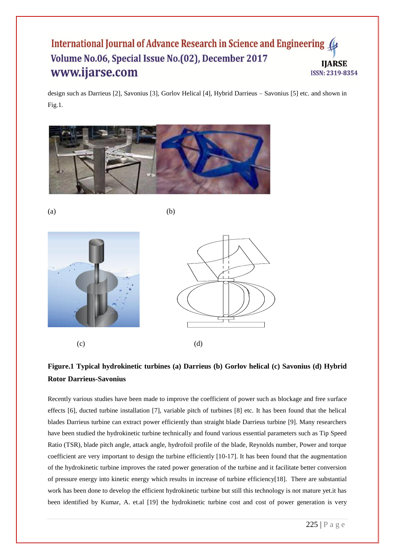design such as Darrieus [2], Savonius [3], Gorlov Helical [4], Hybrid Darrieus – Savonius [5] etc. and shown in Fig.1.



 $(a)$  (b)



# **Figure.1 Typical hydrokinetic turbines (a) Darrieus (b) Gorlov helical (c) Savonius (d) Hybrid Rotor Darrieus-Savonius**

Recently various studies have been made to improve the coefficient of power such as blockage and free surface effects [6], ducted turbine installation [7], variable pitch of turbines [8] etc. It has been found that the helical blades Darrieus turbine can extract power efficiently than straight blade Darrieus turbine [9]. Many researchers have been studied the hydrokinetic turbine technically and found various essential parameters such as Tip Speed Ratio (TSR), blade pitch angle, attack angle, hydrofoil profile of the blade, Reynolds number, Power and torque coefficient are very important to design the turbine efficiently [10-17]. It has been found that the augmentation of the hydrokinetic turbine improves the rated power generation of the turbine and it facilitate better conversion of pressure energy into kinetic energy which results in increase of turbine efficiency[18]. There are substantial work has been done to develop the efficient hydrokinetic turbine but still this technology is not mature yet.it has been identified by Kumar, A. et.al [19] the hydrokinetic turbine cost and cost of power generation is very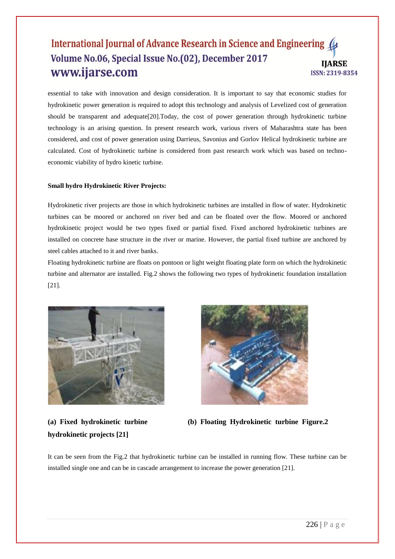essential to take with innovation and design consideration. It is important to say that economic studies for hydrokinetic power generation is required to adopt this technology and analysis of Levelized cost of generation should be transparent and adequate[20].Today, the cost of power generation through hydrokinetic turbine technology is an arising question. In present research work, various rivers of Maharashtra state has been considered, and cost of power generation using Darrieus, Savonius and Gorlov Helical hydrokinetic turbine are calculated. Cost of hydrokinetic turbine is considered from past research work which was based on technoeconomic viability of hydro kinetic turbine.

#### **Small hydro Hydrokinetic River Projects:**

Hydrokinetic river projects are those in which hydrokinetic turbines are installed in flow of water. Hydrokinetic turbines can be moored or anchored on river bed and can be floated over the flow. Moored or anchored hydrokinetic project would be two types fixed or partial fixed. Fixed anchored hydrokinetic turbines are installed on concrete base structure in the river or marine. However, the partial fixed turbine are anchored by steel cables attached to it and river banks.

Floating hydrokinetic turbine are floats on pontoon or light weight floating plate form on which the hydrokinetic turbine and alternator are installed. Fig.2 shows the following two types of hydrokinetic foundation installation [21].



**hydrokinetic projects [21]**



**(a) Fixed hydrokinetic turbine (b) Floating Hydrokinetic turbine Figure.2**

It can be seen from the Fig.2 that hydrokinetic turbine can be installed in running flow. These turbine can be installed single one and can be in cascade arrangement to increase the power generation [21].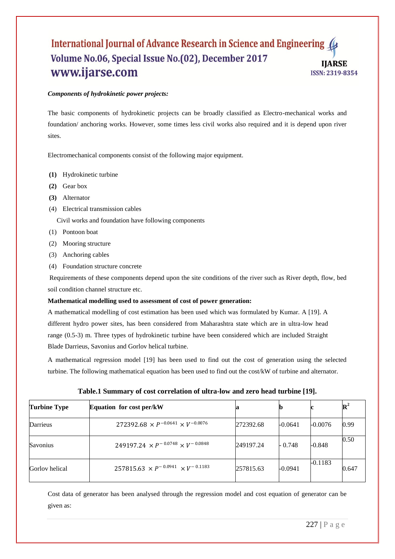#### *Components of hydrokinetic power projects:*

The basic components of hydrokinetic projects can be broadly classified as Electro-mechanical works and foundation/ anchoring works. However, some times less civil works also required and it is depend upon river sites.

Electromechanical components consist of the following major equipment.

- **(1)** Hydrokinetic turbine
- **(2)** Gear box
- **(3)** Alternator
- (4) Electrical transmission cables

Civil works and foundation have following components

- (1) Pontoon boat
- (2) Mooring structure
- (3) Anchoring cables
- (4) Foundation structure concrete

Requirements of these components depend upon the site conditions of the river such as River depth, flow, bed soil condition channel structure etc.

#### **Mathematical modelling used to assessment of cost of power generation:**

A mathematical modelling of cost estimation has been used which was formulated by Kumar. A [19]. A different hydro power sites, has been considered from Maharashtra state which are in ultra-low head range (0.5-3) m. Three types of hydrokinetic turbine have been considered which are included Straight Blade Darrieus, Savonius and Gorlov helical turbine.

A mathematical regression model [19] has been used to find out the cost of generation using the selected turbine. The following mathematical equation has been used to find out the cost/kW of turbine and alternator.

| <b>Turbine Type</b> | <b>Equation for cost per/kW</b>                   | a         |           |           | $\mathbb{R}^2$ |
|---------------------|---------------------------------------------------|-----------|-----------|-----------|----------------|
| Darrieus            | $272392.68 \times P^{-0.0641} \times V^{-0.0076}$ | 272392.68 | $-0.0641$ | $-0.0076$ | 0.99           |
| Savonius            | $249197.24 \times P^{-0.0748} \times V^{-0.0848}$ | 249197.24 | $-0.748$  | $-0.848$  | 0.50           |
| Gorlov helical      | $257815.63 \times P^{-0.0941} \times V^{-0.1183}$ | 257815.63 | -0.0941   | $-0.1183$ | 0.647          |

**Table.1 Summary of cost correlation of ultra-low and zero head turbine [19].**

Cost data of generator has been analysed through the regression model and cost equation of generator can be given as: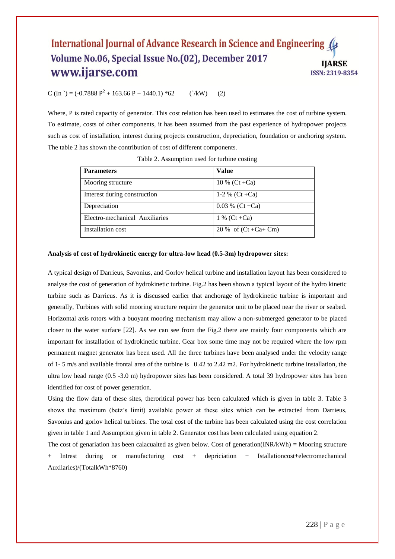$C$  (In `) = (-0.7888 P<sup>2</sup> + 163.66 P + 1440.1) \*62 (`/kW) (2)

Where, P is rated capacity of generator. This cost relation has been used to estimates the cost of turbine system. To estimate, costs of other components, it has been assumed from the past experience of hydropower projects such as cost of installation, interest during projects construction, depreciation, foundation or anchoring system. The table 2 has shown the contribution of cost of different components.

| <b>Parameters</b>              | Value                    |  |
|--------------------------------|--------------------------|--|
| Mooring structure              | 10 % (Ct +Ca)            |  |
| Interest during construction   | 1-2 % (Ct +Ca)           |  |
| Depreciation                   | $0.03 \%$ (Ct +Ca)       |  |
| Electro-mechanical Auxiliaries | 1 % (Ct +Ca)             |  |
| Installation cost              | 20 % of $(Ct + Ca + Cm)$ |  |

Table 2. Assumption used for turbine costing

#### **Analysis of cost of hydrokinetic energy for ultra-low head (0.5-3m) hydropower sites:**

A typical design of Darrieus, Savonius, and Gorlov helical turbine and installation layout has been considered to analyse the cost of generation of hydrokinetic turbine. Fig.2 has been shown a typical layout of the hydro kinetic turbine such as Darrieus. As it is discussed earlier that anchorage of hydrokinetic turbine is important and generally, Turbines with solid mooring structure require the generator unit to be placed near the river or seabed. Horizontal axis rotors with a buoyant mooring mechanism may allow a non-submerged generator to be placed closer to the water surface [22]. As we can see from the Fig.2 there are mainly four components which are important for installation of hydrokinetic turbine. Gear box some time may not be required where the low rpm permanent magnet generator has been used. All the three turbines have been analysed under the velocity range of 1- 5 m/s and available frontal area of the turbine is 0.42 to 2.42 m2. For hydrokinetic turbine installation, the ultra low head range (0.5 -3.0 m) hydropower sites has been considered. A total 39 hydropower sites has been identified for cost of power generation.

Using the flow data of these sites, theroritical power has been calculated which is given in table 3. Table 3 shows the maximum (betz's limit) available power at these sites which can be extracted from Darrieus, Savonius and gorlov helical turbines. The total cost of the turbine has been calculated using the cost correlation given in table 1 and Assumption given in table 2. Generator cost has been calculated using equation 2.

The cost of genariation has been calacualted as given below. Cost of generation(INR/kWh) **=** Mooring structure + Intrest during or manufacturing cost + depriciation + Istallationcost+electromechanical Auxilaries)/(TotalkWh\*8760)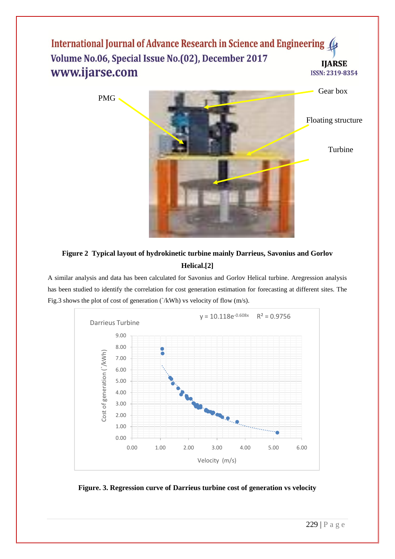

# **Figure 2 Typical layout of hydrokinetic turbine mainly Darrieus, Savonius and Gorlov Helical.[2]**

A similar analysis and data has been calculated for Savonius and Gorlov Helical turbine. Aregression analysis has been studied to identify the correlation for cost generation estimation for forecasting at different sites. The Fig.3 shows the plot of cost of generation (`/kWh) vs velocity of flow (m/s).



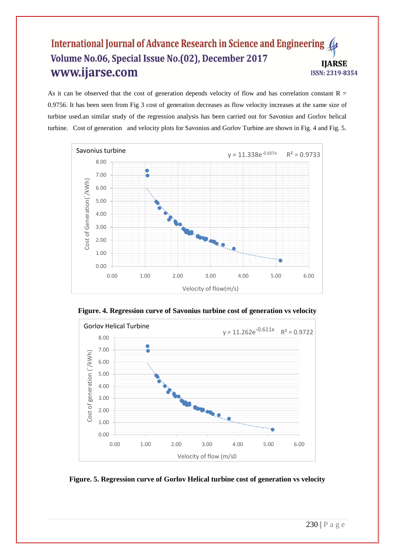As it can be observed that the cost of generation depends velocity of flow and has correlation constant  $R =$ 0.9756. It has been seen from Fig 3 cost of generation decreases as flow velocity increases at the same size of turbine used.an similar study of the regression analysis has been carried out for Savonius and Gorlov helical turbine. Cost of generation and velocity plots for Savonius and Gorlov Turbine are shown in Fig. 4 and Fig. 5.





**Figure. 4. Regression curve of Savonius turbine cost of generation vs velocity**

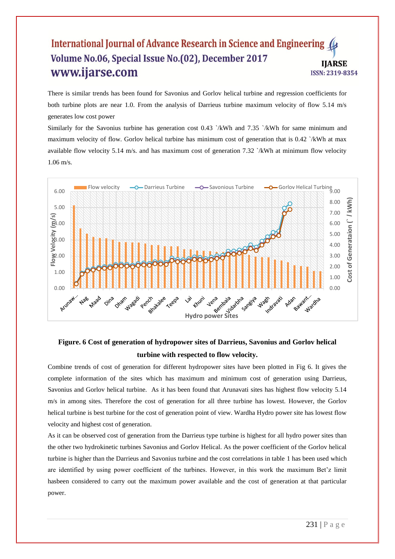There is similar trends has been found for Savonius and Gorlov helical turbine and regression coefficients for both turbine plots are near 1.0. From the analysis of Darrieus turbine maximum velocity of flow 5.14 m/s generates low cost power

Similarly for the Savonius turbine has generation cost  $0.43$   $\lambda$ KWh and  $7.35$   $\lambda$ KWh for same minimum and maximum velocity of flow. Gorlov helical turbine has minimum cost of generation that is 0.42 `/kWh at max available flow velocity 5.14 m/s. and has maximum cost of generation 7.32 `/kWh at minimum flow velocity 1.06 m/s.



# **Figure. 6 Cost of generation of hydropower sites of Darrieus, Savonius and Gorlov helical turbine with respected to flow velocity.**

Combine trends of cost of generation for different hydropower sites have been plotted in Fig 6. It gives the complete information of the sites which has maximum and minimum cost of generation using Darrieus, Savonius and Gorlov helical turbine. As it has been found that Arunavati sites has highest flow velocity 5.14 m/s in among sites. Therefore the cost of generation for all three turbine has lowest. However, the Gorlov helical turbine is best turbine for the cost of generation point of view. Wardha Hydro power site has lowest flow velocity and highest cost of generation.

As it can be observed cost of generation from the Darrieus type turbine is highest for all hydro power sites than the other two hydrokinetic turbines Savonius and Gorlov Helical. As the power coefficient of the Gorlov helical turbine is higher than the Darrieus and Savonius turbine and the cost correlations in table 1 has been used which are identified by using power coefficient of the turbines. However, in this work the maximum Bet'z limit hasbeen considered to carry out the maximum power available and the cost of generation at that particular power.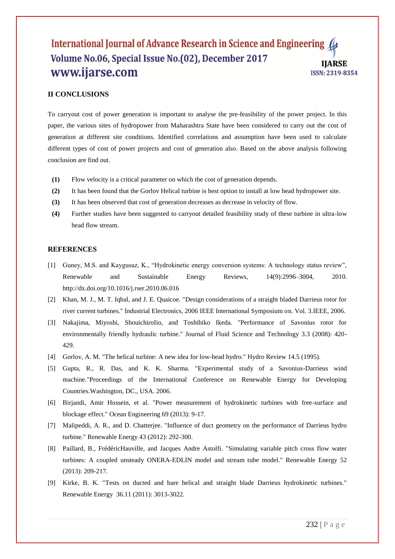## **II CONCLUSIONS**

To carryout cost of power generation is important to analyse the pre-feasibility of the power project. In this paper, the various sites of hydropower from Maharashtra State have been considered to carry out the cost of generation at different site conditions. Identified correlations and assumption have been used to calculate different types of cost of power projects and cost of generation also. Based on the above analysis following conclusion are find out.

- **(1)** Flow velocity is a critical parameter on which the cost of generation depends.
- **(2)** It has been found that the Gorlov Helical turbine is best option to install at low head hydropower site.
- **(3)** It has been observed that cost of generation decreases as decrease in velocity of flow.
- **(4)** Further studies have been suggested to carryout detailed feasibility study of these turbine in ultra-low head flow stream.

#### **REFERENCES**

- [1] Guney, M.S. and Kaygusuz, K., "Hydrokinetic energy conversion systems: A technology status review", Renewable and Sustainable Energy Reviews, 14(9):2996–3004, 2010. http://dx.doi.org/10.1016/j.rser.2010.06.016
- [2] Khan, M. J., M. T. Iqbal, and J. E. Quaicoe. "Design considerations of a straight bladed Darrieus rotor for river current turbines." Industrial Electronics, 2006 IEEE International Symposium on. Vol. 3.IEEE, 2006.
- [3] Nakajima, Miyoshi, ShouichiroIio, and Toshihiko Ikeda. "Performance of Savonius rotor for environmentally friendly hydraulic turbine." Journal of Fluid Science and Technology 3.3 (2008): 420- 429.
- [4] Gorlov, A. M. "The helical turbine: A new idea for low-head hydro." Hydro Review 14.5 (1995).
- [5] Gupta, R., R. Das, and K. K. Sharma. "Experimental study of a Savonius-Darrieus wind machine."Proceedings of the International Conference on Renewable Energy for Developing Countries.Washington, DC., USA. 2006.
- [6] Birjandi, Amir Hossein, et al. "Power measurement of hydrokinetic turbines with free-surface and blockage effect." Ocean Engineering 69 (2013): 9-17.
- [7] Malipeddi, A. R., and D. Chatterjee. "Influence of duct geometry on the performance of Darrieus hydro turbine." Renewable Energy 43 (2012): 292-300.
- [8] Paillard, B., FrédéricHauville, and Jacques Andre Astolfi. "Simulating variable pitch cross flow water turbines: A coupled unsteady ONERA-EDLIN model and stream tube model." Renewable Energy 52 (2013): 209-217.
- [9] Kirke, B. K. "Tests on ducted and bare helical and straight blade Darrieus hydrokinetic turbines." Renewable Energy 36.11 (2011): 3013-3022.